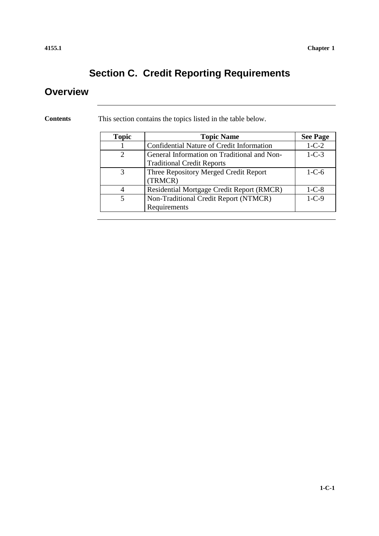## **Section C. Credit Reporting Requirements**

### **Overview**

**Contents** This section contains the topics listed in the table below.

| <b>Topic</b>                | <b>Topic Name</b>                           | <b>See Page</b> |
|-----------------------------|---------------------------------------------|-----------------|
|                             | Confidential Nature of Credit Information   | $1 - C - 2$     |
| $\mathcal{D}_{\mathcal{L}}$ | General Information on Traditional and Non- | $1-C-3$         |
|                             | <b>Traditional Credit Reports</b>           |                 |
| 3                           | Three Repository Merged Credit Report       | $1 - C - 6$     |
|                             | (TRMCR)                                     |                 |
| $\overline{4}$              | Residential Mortgage Credit Report (RMCR)   | $1-C-8$         |
| 5                           | Non-Traditional Credit Report (NTMCR)       | $1 - C - 9$     |
|                             | Requirements                                |                 |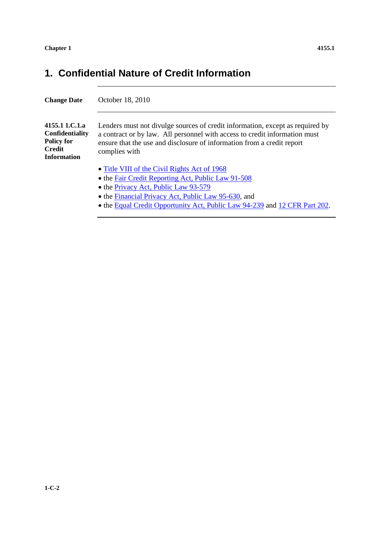## **1. Confidential Nature of Credit Information**

| <b>Change Date</b>                                                                            | October 18, 2010                                                                                                                                                                                                                                                                |
|-----------------------------------------------------------------------------------------------|---------------------------------------------------------------------------------------------------------------------------------------------------------------------------------------------------------------------------------------------------------------------------------|
| 4155.1 1.C.1.a<br>Confidentiality<br><b>Policy for</b><br><b>Credit</b><br><b>Information</b> | Lenders must not divulge sources of credit information, except as required by<br>a contract or by law. All personnel with access to credit information must<br>ensure that the use and disclosure of information from a credit report<br>complies with                          |
|                                                                                               | • Title VIII of the Civil Rights Act of 1968<br>• the Fair Credit Reporting Act, Public Law 91-508<br>• the Privacy Act, Public Law 93-579<br>• the Financial Privacy Act, Public Law 95-630, and<br>• the Equal Credit Opportunity Act, Public Law 94-239 and 12 CFR Part 202. |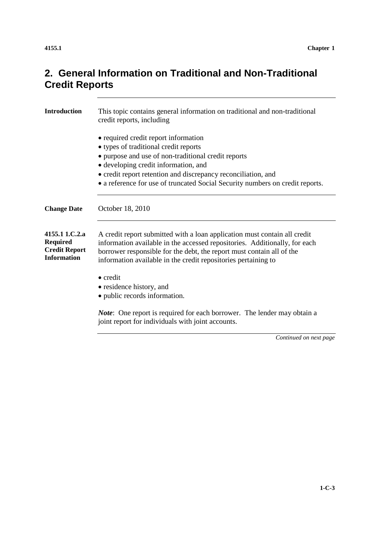## **2. General Information on Traditional and Non-Traditional Credit Reports**

| <b>Introduction</b>                                                             | This topic contains general information on traditional and non-traditional<br>credit reports, including                                                                                                                                                                                                                        |
|---------------------------------------------------------------------------------|--------------------------------------------------------------------------------------------------------------------------------------------------------------------------------------------------------------------------------------------------------------------------------------------------------------------------------|
|                                                                                 | • required credit report information<br>• types of traditional credit reports<br>• purpose and use of non-traditional credit reports<br>• developing credit information, and<br>• credit report retention and discrepancy reconciliation, and<br>• a reference for use of truncated Social Security numbers on credit reports. |
| <b>Change Date</b>                                                              | October 18, 2010                                                                                                                                                                                                                                                                                                               |
| 4155.1 1.C.2.a<br><b>Required</b><br><b>Credit Report</b><br><b>Information</b> | A credit report submitted with a loan application must contain all credit<br>information available in the accessed repositories. Additionally, for each<br>borrower responsible for the debt, the report must contain all of the<br>information available in the credit repositories pertaining to                             |
|                                                                                 | $\bullet$ credit<br>• residence history, and<br>• public records information.                                                                                                                                                                                                                                                  |
|                                                                                 | <i>Note</i> : One report is required for each borrower. The lender may obtain a<br>joint report for individuals with joint accounts.                                                                                                                                                                                           |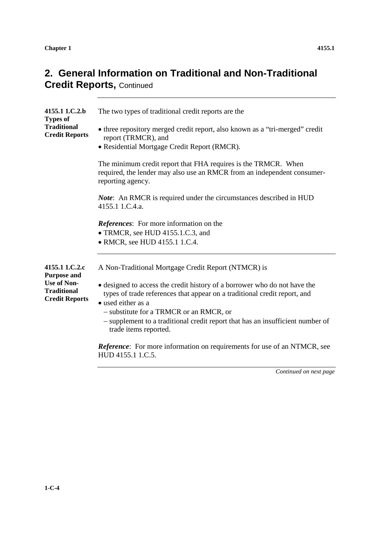**Chapter 1** 4155.1

## **2. General Information on Traditional and Non-Traditional Credit Reports,** Continued

| 4155.1 1.C.2.b<br><b>Types of</b>                                                                         | The two types of traditional credit reports are the                                                                                                                                                                                                                                                                                                                                       |
|-----------------------------------------------------------------------------------------------------------|-------------------------------------------------------------------------------------------------------------------------------------------------------------------------------------------------------------------------------------------------------------------------------------------------------------------------------------------------------------------------------------------|
| <b>Traditional</b><br><b>Credit Reports</b>                                                               | • three repository merged credit report, also known as a "tri-merged" credit<br>report (TRMCR), and<br>· Residential Mortgage Credit Report (RMCR).                                                                                                                                                                                                                                       |
|                                                                                                           | The minimum credit report that FHA requires is the TRMCR. When<br>required, the lender may also use an RMCR from an independent consumer-<br>reporting agency.                                                                                                                                                                                                                            |
|                                                                                                           | <b>Note:</b> An RMCR is required under the circumstances described in HUD<br>4155.1 1.C.4.a.                                                                                                                                                                                                                                                                                              |
|                                                                                                           | <b>References:</b> For more information on the<br>• TRMCR, see HUD 4155.1.C.3, and<br>• RMCR, see HUD 4155.1 1.C.4.                                                                                                                                                                                                                                                                       |
| 4155.1 1.C.2.c<br><b>Purpose and</b><br><b>Use of Non-</b><br><b>Traditional</b><br><b>Credit Reports</b> | A Non-Traditional Mortgage Credit Report (NTMCR) is<br>• designed to access the credit history of a borrower who do not have the<br>types of trade references that appear on a traditional credit report, and<br>• used either as a<br>- substitute for a TRMCR or an RMCR, or<br>- supplement to a traditional credit report that has an insufficient number of<br>trade items reported. |
|                                                                                                           | <b>Reference:</b> For more information on requirements for use of an NTMCR, see<br>HUD 4155.1 1.C.5.                                                                                                                                                                                                                                                                                      |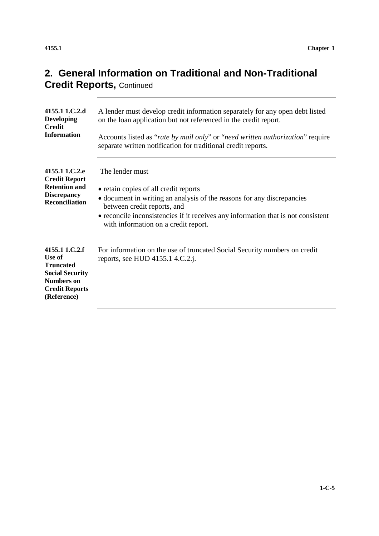| 4155.1 1.C.2.d<br><b>Developing</b><br><b>Credit</b><br><b>Information</b>                                                          | A lender must develop credit information separately for any open debt listed<br>on the loan application but not referenced in the credit report.<br>Accounts listed as "rate by mail only" or "need written authorization" require<br>separate written notification for traditional credit reports. |
|-------------------------------------------------------------------------------------------------------------------------------------|-----------------------------------------------------------------------------------------------------------------------------------------------------------------------------------------------------------------------------------------------------------------------------------------------------|
| 4155.1 1.C.2.e<br><b>Credit Report</b><br><b>Retention and</b><br><b>Discrepancy</b><br><b>Reconciliation</b>                       | The lender must<br>• retain copies of all credit reports<br>• document in writing an analysis of the reasons for any discrepancies<br>between credit reports, and<br>• reconcile inconsistencies if it receives any information that is not consistent<br>with information on a credit report.      |
| 4155.1 1.C.2.f<br>Use of<br><b>Truncated</b><br><b>Social Security</b><br><b>Numbers on</b><br><b>Credit Reports</b><br>(Reference) | For information on the use of truncated Social Security numbers on credit<br>reports, see HUD 4155.1 4.C.2.j.                                                                                                                                                                                       |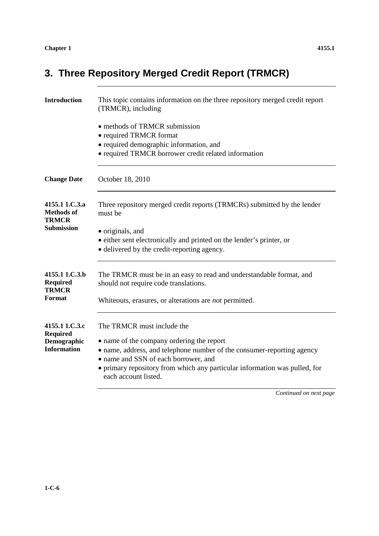## **3. Three Repository Merged Credit Report (TRMCR)**

| <b>Introduction</b>                                                    | This topic contains information on the three repository merged credit report<br>(TRMCR), including                                                                                                                                                                                              |
|------------------------------------------------------------------------|-------------------------------------------------------------------------------------------------------------------------------------------------------------------------------------------------------------------------------------------------------------------------------------------------|
|                                                                        | • methods of TRMCR submission<br>• required TRMCR format<br>• required demographic information, and<br>• required TRMCR borrower credit related information                                                                                                                                     |
| <b>Change Date</b>                                                     | October 18, 2010                                                                                                                                                                                                                                                                                |
| 4155.1 1.C.3.a<br><b>Methods of</b><br><b>TRMCR</b>                    | Three repository merged credit reports (TRMCRs) submitted by the lender<br>must be                                                                                                                                                                                                              |
| <b>Submission</b>                                                      | • originals, and<br>• either sent electronically and printed on the lender's printer, or<br>• delivered by the credit-reporting agency.                                                                                                                                                         |
| 4155.1 1.C.3.b<br><b>Required</b><br><b>TRMCR</b><br>Format            | The TRMCR must be in an easy to read and understandable format, and<br>should not require code translations.<br>Whiteouts, erasures, or alterations are <i>not</i> permitted.                                                                                                                   |
|                                                                        |                                                                                                                                                                                                                                                                                                 |
| 4155.1 1.C.3.c<br><b>Required</b><br>Demographic<br><b>Information</b> | The TRMCR must include the<br>• name of the company ordering the report<br>• name, address, and telephone number of the consumer-reporting agency<br>• name and SSN of each borrower, and<br>• primary repository from which any particular information was pulled, for<br>each account listed. |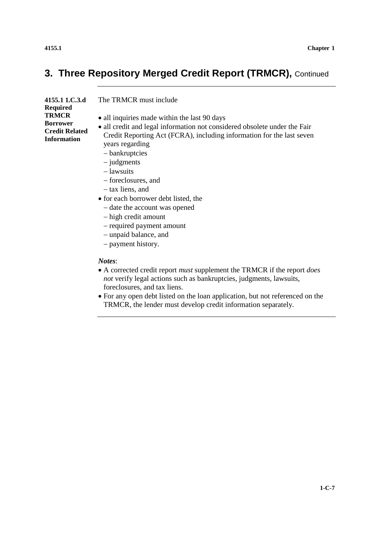### **3. Three Repository Merged Credit Report (TRMCR),** Continued

| 4155.1 1.C.3.d                    | The TRMCR must include                                                                                                                             |
|-----------------------------------|----------------------------------------------------------------------------------------------------------------------------------------------------|
| Required<br>TRMCR                 |                                                                                                                                                    |
|                                   | • all inquiries made within the last 90 days                                                                                                       |
| Borrower<br><b>Credit Related</b> | • all credit and legal information not considered obsolete under the Fair<br>Credit Reporting Act (FCRA), including information for the last seven |
| Information                       |                                                                                                                                                    |
|                                   | years regarding                                                                                                                                    |
|                                   | - bankruptcies                                                                                                                                     |
|                                   | $-$ judgments                                                                                                                                      |
|                                   | - lawsuits                                                                                                                                         |
|                                   | – foreclosures, and                                                                                                                                |
|                                   | - tax liens, and                                                                                                                                   |

- for each borrower debt listed, the
	- date the account was opened
	- high credit amount
	- required payment amount
	- unpaid balance, and
	- payment history.

#### *Notes*:

- A corrected credit report *must* supplement the TRMCR if the report *does not* verify legal actions such as bankruptcies, judgments, lawsuits, foreclosures, and tax liens.
- For any open debt listed on the loan application, but not referenced on the TRMCR, the lender must develop credit information separately.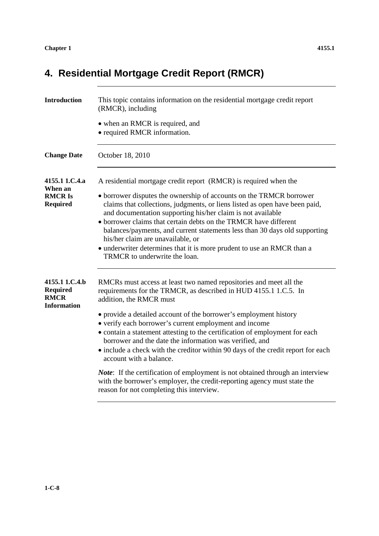## **4. Residential Mortgage Credit Report (RMCR)**

| <b>Introduction</b>                                                    | This topic contains information on the residential mortgage credit report<br>(RMCR), including<br>• when an RMCR is required, and<br>• required RMCR information.                                                                                                                                                                                                                                                                                                                                                                                                                       |
|------------------------------------------------------------------------|-----------------------------------------------------------------------------------------------------------------------------------------------------------------------------------------------------------------------------------------------------------------------------------------------------------------------------------------------------------------------------------------------------------------------------------------------------------------------------------------------------------------------------------------------------------------------------------------|
| <b>Change Date</b>                                                     | October 18, 2010                                                                                                                                                                                                                                                                                                                                                                                                                                                                                                                                                                        |
| 4155.1 1.C.4.a<br>When an<br><b>RMCRIS</b><br><b>Required</b>          | A residential mortgage credit report (RMCR) is required when the<br>• borrower disputes the ownership of accounts on the TRMCR borrower<br>claims that collections, judgments, or liens listed as open have been paid,<br>and documentation supporting his/her claim is not available<br>• borrower claims that certain debts on the TRMCR have different<br>balances/payments, and current statements less than 30 days old supporting<br>his/her claim are unavailable, or<br>• underwriter determines that it is more prudent to use an RMCR than a<br>TRMCR to underwrite the loan. |
| 4155.1 1.C.4.b<br><b>Required</b><br><b>RMCR</b><br><b>Information</b> | RMCRs must access at least two named repositories and meet all the<br>requirements for the TRMCR, as described in HUD 4155.1 1.C.5. In<br>addition, the RMCR must<br>• provide a detailed account of the borrower's employment history<br>• verify each borrower's current employment and income<br>• contain a statement attesting to the certification of employment for each<br>borrower and the date the information was verified, and<br>• include a check with the creditor within 90 days of the credit report for each<br>account with a balance.                               |
|                                                                        | Note: If the certification of employment is not obtained through an interview<br>with the borrower's employer, the credit-reporting agency must state the<br>reason for not completing this interview.                                                                                                                                                                                                                                                                                                                                                                                  |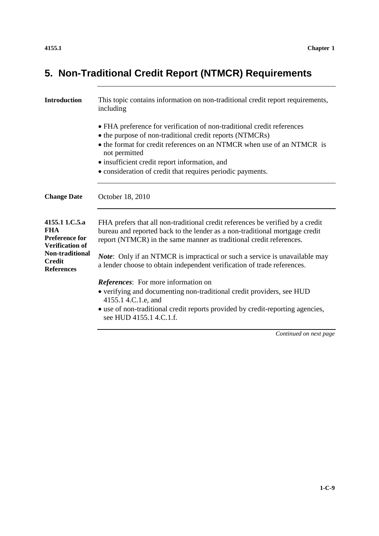## **5. Non-Traditional Credit Report (NTMCR) Requirements**

| <b>Introduction</b>                                                             | This topic contains information on non-traditional credit report requirements,<br>including                                                                                                                                                                                    |
|---------------------------------------------------------------------------------|--------------------------------------------------------------------------------------------------------------------------------------------------------------------------------------------------------------------------------------------------------------------------------|
|                                                                                 | • FHA preference for verification of non-traditional credit references<br>• the purpose of non-traditional credit reports (NTMCRs)<br>• the format for credit references on an NTMCR when use of an NTMCR is<br>not permitted<br>· insufficient credit report information, and |
|                                                                                 | • consideration of credit that requires periodic payments.                                                                                                                                                                                                                     |
| <b>Change Date</b>                                                              | October 18, 2010                                                                                                                                                                                                                                                               |
| 4155.1 1.C.5.a<br><b>FHA</b><br><b>Preference for</b><br><b>Verification of</b> | FHA prefers that all non-traditional credit references be verified by a credit<br>bureau and reported back to the lender as a non-traditional mortgage credit<br>report (NTMCR) in the same manner as traditional credit references.                                           |
| Non-traditional<br><b>Credit</b><br><b>References</b>                           | <i>Note</i> : Only if an NTMCR is impractical or such a service is unavailable may<br>a lender choose to obtain independent verification of trade references.                                                                                                                  |
|                                                                                 | <b>References:</b> For more information on                                                                                                                                                                                                                                     |
|                                                                                 | • verifying and documenting non-traditional credit providers, see HUD<br>4155.1 4.C.1.e, and                                                                                                                                                                                   |
|                                                                                 | • use of non-traditional credit reports provided by credit-reporting agencies,<br>see HUD 4155.1 4.C.1.f.                                                                                                                                                                      |
|                                                                                 |                                                                                                                                                                                                                                                                                |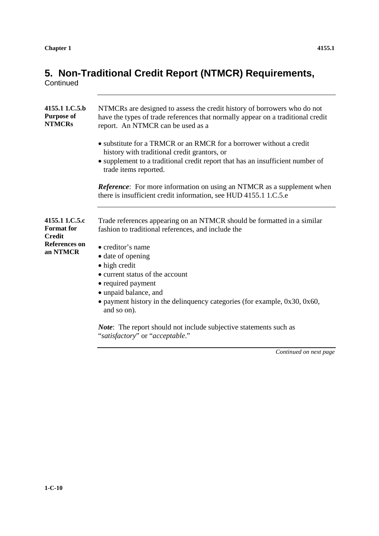### **5. Non-Traditional Credit Report (NTMCR) Requirements,**

**Continued** 

| 4155.1 1.C.5.b<br><b>Purpose of</b><br><b>NTMCRs</b>                         | NTMCRs are designed to assess the credit history of borrowers who do not<br>have the types of trade references that normally appear on a traditional credit<br>report. An NTMCR can be used as a                               |
|------------------------------------------------------------------------------|--------------------------------------------------------------------------------------------------------------------------------------------------------------------------------------------------------------------------------|
|                                                                              | • substitute for a TRMCR or an RMCR for a borrower without a credit<br>history with traditional credit grantors, or<br>• supplement to a traditional credit report that has an insufficient number of<br>trade items reported. |
|                                                                              | <b>Reference:</b> For more information on using an NTMCR as a supplement when<br>there is insufficient credit information, see HUD 4155.1 1.C.5.e                                                                              |
| 4155.1 1.C.5.c<br><b>Format</b> for<br><b>Credit</b><br><b>References on</b> | Trade references appearing on an NTMCR should be formatted in a similar<br>fashion to traditional references, and include the<br>• creditor's name                                                                             |
| an NTMCR                                                                     | • date of opening                                                                                                                                                                                                              |
|                                                                              | • high credit                                                                                                                                                                                                                  |
|                                                                              | • current status of the account                                                                                                                                                                                                |
|                                                                              | • required payment<br>• unpaid balance, and                                                                                                                                                                                    |
|                                                                              | • payment history in the delinquency categories (for example, $0x30$ , $0x60$ ,<br>and so on).                                                                                                                                 |
|                                                                              | <b>Note:</b> The report should not include subjective statements such as<br>"satisfactory" or "acceptable."                                                                                                                    |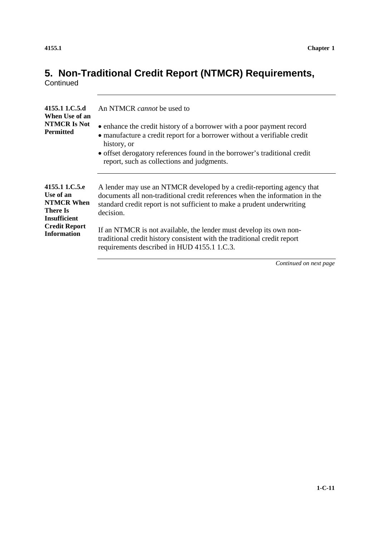# **5. Non-Traditional Credit Report (NTMCR) Requirements,**

**Continued** 

| 4155.1 1.C.5.d<br>When Use of an<br><b>NTMCR Is Not</b><br><b>Permitted</b> | An NTMCR <i>cannot</i> be used to<br>• enhance the credit history of a borrower with a poor payment record<br>• manufacture a credit report for a borrower without a verifiable credit<br>history, or<br>• offset derogatory references found in the borrower's traditional credit<br>report, such as collections and judgments. |
|-----------------------------------------------------------------------------|----------------------------------------------------------------------------------------------------------------------------------------------------------------------------------------------------------------------------------------------------------------------------------------------------------------------------------|
| 4155.1 1.C.5.e                                                              | A lender may use an NTMCR developed by a credit-reporting agency that                                                                                                                                                                                                                                                            |
| Use of an                                                                   | documents all non-traditional credit references when the information in the                                                                                                                                                                                                                                                      |
| <b>NTMCR When</b>                                                           | standard credit report is not sufficient to make a prudent underwriting                                                                                                                                                                                                                                                          |
| <b>There Is</b>                                                             | decision.                                                                                                                                                                                                                                                                                                                        |
| <b>Insufficient</b>                                                         | If an NTMCR is not available, the lender must develop its own non-                                                                                                                                                                                                                                                               |
| <b>Credit Report</b>                                                        | traditional credit history consistent with the traditional credit report                                                                                                                                                                                                                                                         |
| <b>Information</b>                                                          | requirements described in HUD 4155.1 1.C.3.                                                                                                                                                                                                                                                                                      |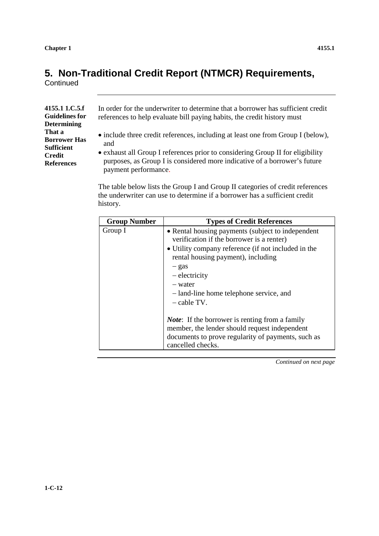## **5. Non-Traditional Credit Report (NTMCR) Requirements,**

**Continued** 

| 4155.1 1.C.5.f        |
|-----------------------|
| <b>Guidelines for</b> |
| <b>Determining</b>    |
| That a                |
| <b>Borrower Has</b>   |
| <b>Sufficient</b>     |
| <b>Credit</b>         |
| <b>References</b>     |
|                       |

In order for the underwriter to determine that a borrower has sufficient credit references to help evaluate bill paying habits, the credit history must

- include three credit references, including at least one from Group I (below), and
- exhaust all Group I references prior to considering Group II for eligibility purposes, as Group I is considered more indicative of a borrower's future payment performance.

The table below lists the Group I and Group II categories of credit references the underwriter can use to determine if a borrower has a sufficient credit history.

| <b>Group Number</b> | <b>Types of Credit References</b>                                                                                                                                                                                                                                                                   |
|---------------------|-----------------------------------------------------------------------------------------------------------------------------------------------------------------------------------------------------------------------------------------------------------------------------------------------------|
| Group I             | • Rental housing payments (subject to independent<br>verification if the borrower is a renter)<br>• Utility company reference (if not included in the<br>rental housing payment), including<br>– gas<br>– electricity<br>- water<br>- land-line home telephone service, and<br>$-\text{cable TV}$ . |
|                     | <i>Note</i> : If the borrower is renting from a family<br>member, the lender should request independent<br>documents to prove regularity of payments, such as<br>cancelled checks.                                                                                                                  |